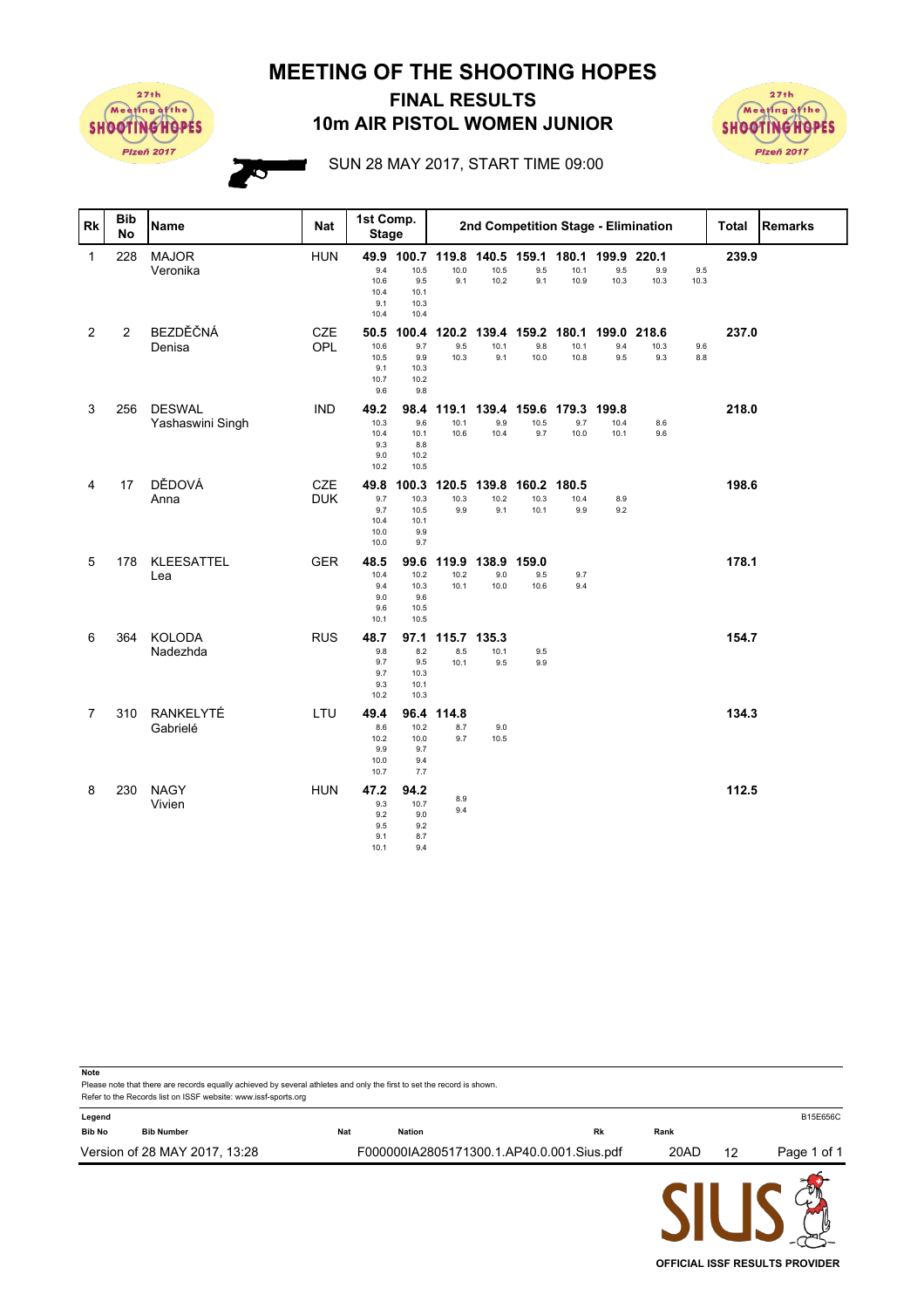**MEETING OF THE SHOOTING HOPES**



## **10m AIR PISTOL WOMEN JUNIOR FINAL RESULTS**



**OFFICIAL ISSF RESULTS PROVIDER**

SUN 28 MAY 2017, START TIME 09:00

| <b>Rk</b>      | <b>Bib</b><br><b>No</b> | <b>Name</b>                       | <b>Nat</b>               | 1st Comp.<br><b>Stage</b>                  |                                                         | 2nd Competition Stage - Elimination |                            |                           |                            |                      |                      | <b>Total</b> | <b>Remarks</b> |  |
|----------------|-------------------------|-----------------------------------|--------------------------|--------------------------------------------|---------------------------------------------------------|-------------------------------------|----------------------------|---------------------------|----------------------------|----------------------|----------------------|--------------|----------------|--|
| $\mathbf 1$    | 228                     | <b>MAJOR</b><br>Veronika          | <b>HUN</b>               | 9.4<br>10.6<br>10.4<br>9.1<br>10.4         | 49.9 100.7 119.8<br>10.5<br>9.5<br>10.1<br>10.3<br>10.4 | 10.0<br>9.1                         | 10.5<br>10.2               | 140.5 159.1<br>9.5<br>9.1 | 180.1<br>10.1<br>10.9      | 199.9<br>9.5<br>10.3 | 220.1<br>9.9<br>10.3 | 9.5<br>10.3  | 239.9          |  |
| $\overline{2}$ | $\overline{2}$          | BEZDĚČNÁ<br>Denisa                | <b>CZE</b><br>OPL        | 50.5<br>10.6<br>10.5<br>9.1<br>10.7<br>9.6 | 100.4<br>9.7<br>9.9<br>10.3<br>10.2<br>9.8              | 120.2<br>9.5<br>10.3                | 139.4<br>10.1<br>9.1       | 159.2<br>9.8<br>10.0      | 180.1<br>10.1<br>10.8      | 199.0<br>9.4<br>9.5  | 218.6<br>10.3<br>9.3 | 9.6<br>8.8   | 237.0          |  |
| 3              | 256                     | <b>DESWAL</b><br>Yashaswini Singh | <b>IND</b>               | 49.2<br>10.3<br>10.4<br>9.3<br>9.0<br>10.2 | 98.4<br>9.6<br>10.1<br>8.8<br>10.2<br>10.5              | 119.1<br>10.1<br>10.6               | 139.4<br>9.9<br>10.4       | 159.6<br>10.5<br>9.7      | 179.3 199.8<br>9.7<br>10.0 | 10.4<br>10.1         | 8.6<br>9.6           |              | 218.0          |  |
| 4              | 17                      | DĚDOVÁ<br>Anna                    | <b>CZE</b><br><b>DUK</b> | 49.8<br>9.7<br>9.7<br>10.4<br>10.0<br>10.0 | 100.3<br>10.3<br>10.5<br>10.1<br>9.9<br>9.7             | 120.5<br>10.3<br>9.9                | 139.8<br>10.2<br>9.1       | 160.2<br>10.3<br>10.1     | 180.5<br>10.4<br>9.9       | 8.9<br>9.2           |                      |              | 198.6          |  |
| 5              | 178                     | KLEESATTEL<br>Lea                 | <b>GER</b>               | 48.5<br>10.4<br>9.4<br>9.0<br>9.6<br>10.1  | 99.6<br>10.2<br>10.3<br>9.6<br>10.5<br>10.5             | 119.9<br>10.2<br>10.1               | 138.9 159.0<br>9.0<br>10.0 | 9.5<br>10.6               | 9.7<br>9.4                 |                      |                      |              | 178.1          |  |
| 6              | 364                     | KOLODA<br>Nadezhda                | <b>RUS</b>               | 48.7<br>9.8<br>9.7<br>9.7<br>9.3<br>10.2   | 97.1<br>8.2<br>9.5<br>10.3<br>10.1<br>10.3              | 115.7<br>8.5<br>10.1                | 135.3<br>10.1<br>9.5       | 9.5<br>9.9                |                            |                      |                      |              | 154.7          |  |
| $\overline{7}$ | 310                     | RANKELYTÉ<br>Gabrielé             | LTU                      | 49.4<br>8.6<br>10.2<br>9.9<br>10.0<br>10.7 | 96.4<br>10.2<br>10.0<br>9.7<br>9.4<br>7.7               | 114.8<br>8.7<br>9.7                 | 9.0<br>10.5                |                           |                            |                      |                      |              | 134.3          |  |
| 8              | 230                     | <b>NAGY</b><br>Vivien             | <b>HUN</b>               | 47.2<br>9.3<br>9.2<br>9.5<br>9.1<br>10.1   | 94.2<br>10.7<br>9.0<br>9.2<br>8.7<br>9.4                | 8.9<br>9.4                          |                            |                           |                            |                      |                      |              | 112.5          |  |

Please note that there are records equally achieved by several athletes and only the first to set the record is shown. **Note** Refer to the Records list on ISSF website: www.issf-sports.org **Legend** B15E656C **Bib No Bib Number Nat Nation Rk Rank** Version of 28 MAY 2017, 13:28 F000000IA2805171300.1.AP40.0.001.Sius.pdf 20AD 12 Page 1 of 1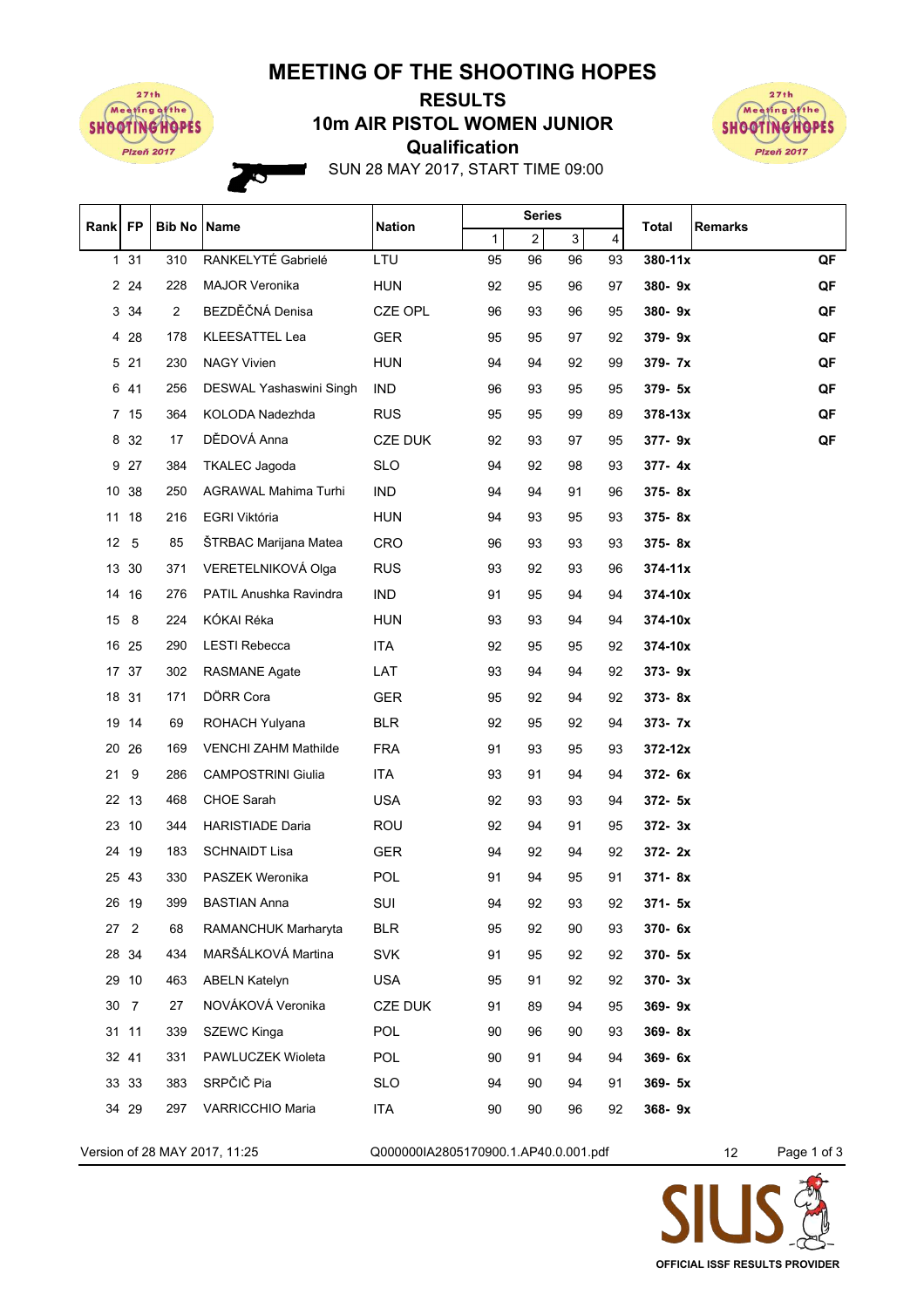## **MEETING OF THE SHOOTING HOPES**



Ó

## **Qualification 10m AIR PISTOL WOMEN JUNIOR RESULTS**



SUN 28 MAY 2017, START TIME 09:00

| Rank   FP |                 | <b>Bib No Name</b> |                             | <b>Nation</b>  | <b>Series</b> |                         |    |                         | <b>Total</b><br><b>Remarks</b> |
|-----------|-----------------|--------------------|-----------------------------|----------------|---------------|-------------------------|----|-------------------------|--------------------------------|
|           |                 |                    |                             |                | 1             | $\overline{\mathbf{c}}$ | 3  | $\overline{\mathbf{4}}$ |                                |
|           | 131             | 310                | RANKELYTÉ Gabrielé          | LTU            | 95            | 96                      | 96 | 93                      | 380-11x<br>QF                  |
|           | 2 2 4           | 228                | <b>MAJOR Veronika</b>       | <b>HUN</b>     | 92            | 95                      | 96 | 97                      | QF<br>380-9x                   |
|           | 3 3 4           | $\overline{2}$     | BEZDĚČNÁ Denisa             | CZE OPL        | 96            | 93                      | 96 | 95                      | QF<br>380-9x                   |
|           | 4 28            | 178                | KLEESATTEL Lea              | <b>GER</b>     | 95            | 95                      | 97 | 92                      | 379-9x<br>QF                   |
|           | 5 21            | 230                | <b>NAGY Vivien</b>          | <b>HUN</b>     | 94            | 94                      | 92 | 99                      | QF<br>379-7x                   |
| 6         | 41              | 256                | DESWAL Yashaswini Singh     | <b>IND</b>     | 96            | 93                      | 95 | 95                      | QF<br>379-5x                   |
|           | 7 15            | 364                | KOLODA Nadezhda             | <b>RUS</b>     | 95            | 95                      | 99 | 89                      | QF<br>$378 - 13x$              |
|           | 8 32            | 17                 | DĚDOVÁ Anna                 | <b>CZE DUK</b> | 92            | 93                      | 97 | 95                      | QF<br>377-9x                   |
|           | 9 27            | 384                | <b>TKALEC</b> Jagoda        | <b>SLO</b>     | 94            | 92                      | 98 | 93                      | 377-4x                         |
|           | 10 38           | 250                | AGRAWAL Mahima Turhi        | <b>IND</b>     | 94            | 94                      | 91 | 96                      | 375-8x                         |
|           | 11 18           | 216                | EGRI Viktória               | <b>HUN</b>     | 94            | 93                      | 95 | 93                      | 375-8x                         |
|           | 12 <sub>5</sub> | 85                 | ŠTRBAC Marijana Matea       | <b>CRO</b>     | 96            | 93                      | 93 | 93                      | 375-8x                         |
|           | 13 30           | 371                | VERETELNIKOVÁ Olga          | <b>RUS</b>     | 93            | 92                      | 93 | 96                      | $374 - 11x$                    |
|           | 14 16           | 276                | PATIL Anushka Ravindra      | <b>IND</b>     | 91            | 95                      | 94 | 94                      | 374-10x                        |
|           | 15 8            | 224                | KÓKAI Réka                  | HUN            | 93            | 93                      | 94 | 94                      | 374-10x                        |
|           | 16 25           | 290                | <b>LESTI Rebecca</b>        | ITA.           | 92            | 95                      | 95 | 92                      | 374-10x                        |
|           | 17 37           | 302                | <b>RASMANE Agate</b>        | LAT            | 93            | 94                      | 94 | 92                      | $373 - 9x$                     |
|           | 18 31           | 171                | DÖRR Cora                   | <b>GER</b>     | 95            | 92                      | 94 | 92                      | 373-8x                         |
|           | 19 14           | 69                 | ROHACH Yulyana              | <b>BLR</b>     | 92            | 95                      | 92 | 94                      | 373- 7x                        |
|           | 20 26           | 169                | <b>VENCHI ZAHM Mathilde</b> | <b>FRA</b>     | 91            | 93                      | 95 | 93                      | $372 - 12x$                    |
| 21        | 9               | 286                | <b>CAMPOSTRINI Giulia</b>   | ITA            | 93            | 91                      | 94 | 94                      | 372- 6x                        |
|           | 22 13           | 468                | <b>CHOE Sarah</b>           | <b>USA</b>     | 92            | 93                      | 93 | 94                      | $372 - 5x$                     |
|           | 23 10           | 344                | <b>HARISTIADE Daria</b>     | ROU            | 92            | 94                      | 91 | 95                      | $372 - 3x$                     |
|           | 24 19           | 183                | <b>SCHNAIDT Lisa</b>        | <b>GER</b>     | 94            | 92                      | 94 | 92                      | $372 - 2x$                     |
|           | 25 43           | 330                | PASZEK Weronika             | POL            | 91            | 94                      | 95 | 91                      | $371 - 8x$                     |
|           | 26 19           | 399                | <b>BASTIAN Anna</b>         | SUI            | 94            | 92                      | 93 | 92                      | 371- 5x                        |
|           | 27 2            | 68                 | RAMANCHUK Marharyta         | <b>BLR</b>     | 95            | 92                      | 90 | 93                      | 370-6x                         |
|           | 28 34           | 434                | MARŠÁLKOVÁ Martina          | SVK            | 91            | 95                      | 92 | 92                      | 370- 5x                        |
|           | 29 10           | 463                | <b>ABELN Katelyn</b>        | <b>USA</b>     | 95            | 91                      | 92 | 92                      | 370-3x                         |
|           | 30 7            | 27                 | NOVÁKOVÁ Veronika           | <b>CZE DUK</b> | 91            | 89                      | 94 | 95                      | 369-9x                         |
|           | 31 11           | 339                | <b>SZEWC Kinga</b>          | POL            | 90            | 96                      | 90 | 93                      | 369-8x                         |
|           | 32 41           | 331                | PAWLUCZEK Wioleta           | <b>POL</b>     | 90            | 91                      | 94 | 94                      | 369-6x                         |
|           | 33 33           | 383                | SRPČIČ Pia                  | <b>SLO</b>     | 94            | 90                      | 94 | 91                      | $369 - 5x$                     |
|           | 34 29           | 297                | <b>VARRICCHIO Maria</b>     | ITA            | 90            | 90                      | 96 | 92                      | 368-9x                         |
|           |                 |                    |                             |                |               |                         |    |                         |                                |

Version of 28 MAY 2017, 11:25 Q000000IA2805170900.1.AP40.0.001.pdf 12 Page 1 of 3

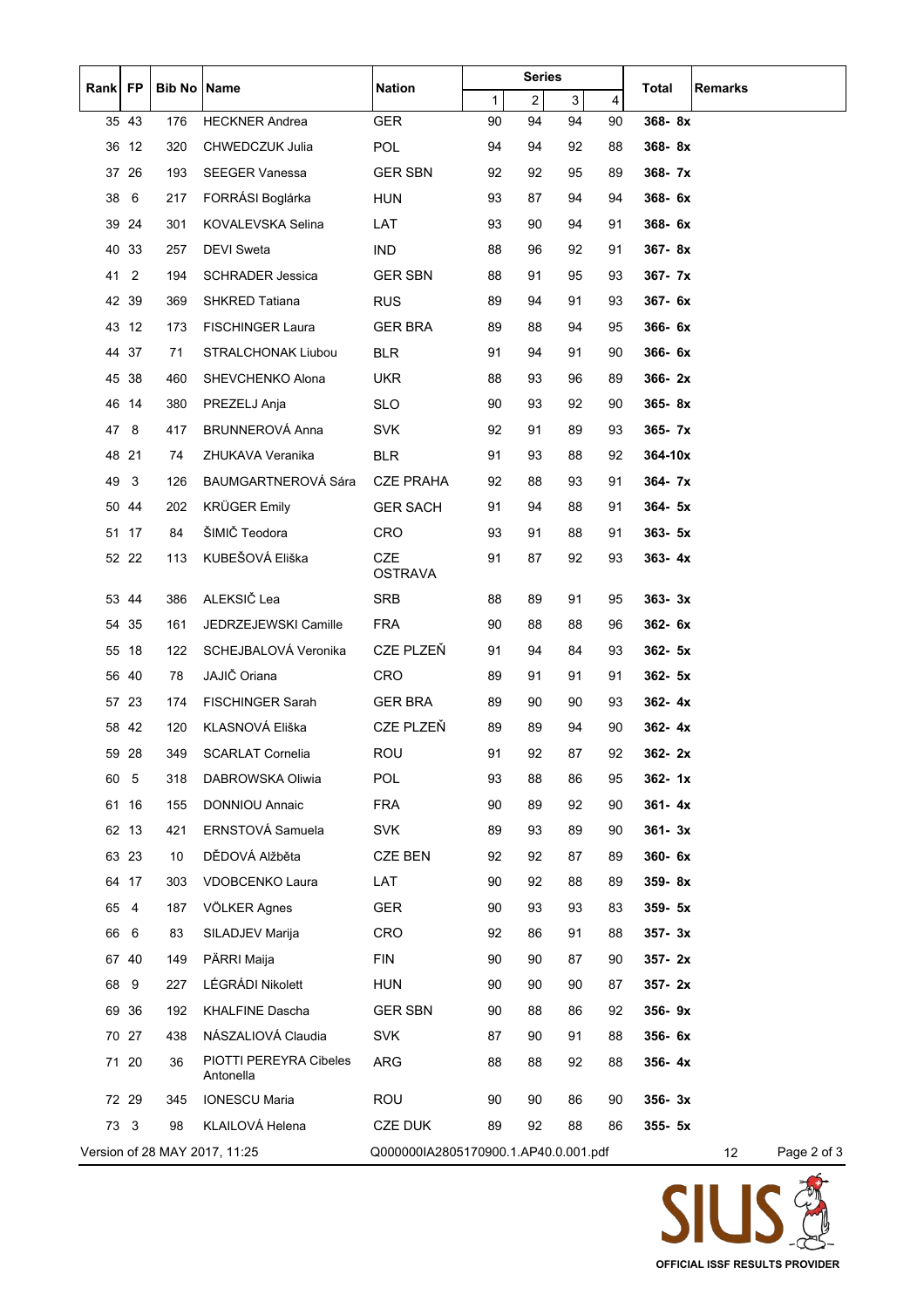| Rank FP |                | <b>Bib No Name</b> |                                     | <b>Nation</b>                        | <b>Series</b> |                |             |    | Total<br>Remarks |             |
|---------|----------------|--------------------|-------------------------------------|--------------------------------------|---------------|----------------|-------------|----|------------------|-------------|
|         |                |                    |                                     |                                      | $\mathbf{1}$  | $\overline{2}$ | $\mathsf 3$ | 4  |                  |             |
|         | 35 43          | 176                | <b>HECKNER Andrea</b>               | <b>GER</b>                           | 90            | 94             | 94          | 90 | 368-8x           |             |
|         | 36 12          | 320                | CHWEDCZUK Julia                     | <b>POL</b>                           | 94            | 94             | 92          | 88 | 368-8x           |             |
|         | 37 26          | 193                | <b>SEEGER Vanessa</b>               | <b>GER SBN</b>                       | 92            | 92             | 95          | 89 | 368-7x           |             |
| 38      | 6              | 217                | FORRÁSI Boglárka                    | <b>HUN</b>                           | 93            | 87             | 94          | 94 | 368-6x           |             |
|         | 39 24          | 301                | KOVALEVSKA Selina                   | LAT                                  | 93            | 90             | 94          | 91 | 368-6x           |             |
|         | 40 33          | 257                | <b>DEVI Sweta</b>                   | <b>IND</b>                           | 88            | 96             | 92          | 91 | $367 - 8x$       |             |
| 41      | $\overline{2}$ | 194                | <b>SCHRADER Jessica</b>             | <b>GER SBN</b>                       | 88            | 91             | 95          | 93 | $367 - 7x$       |             |
|         | 42 39          | 369                | SHKRED Tatiana                      | <b>RUS</b>                           | 89            | 94             | 91          | 93 | 367- 6x          |             |
|         | 43 12          | 173                | <b>FISCHINGER Laura</b>             | <b>GER BRA</b>                       | 89            | 88             | 94          | 95 | 366-6x           |             |
|         | 44 37          | 71                 | STRALCHONAK Liubou                  | <b>BLR</b>                           | 91            | 94             | 91          | 90 | 366-6x           |             |
|         | 45 38          | 460                | SHEVCHENKO Alona                    | <b>UKR</b>                           | 88            | 93             | 96          | 89 | $366 - 2x$       |             |
|         | 46 14          | 380                | PREZELJ Anja                        | <b>SLO</b>                           | 90            | 93             | 92          | 90 | 365-8x           |             |
| 47 8    |                | 417                | <b>BRUNNEROVÁ Anna</b>              | <b>SVK</b>                           | 92            | 91             | 89          | 93 | $365 - 7x$       |             |
|         | 48 21          | 74                 | ZHUKAVA Veranika                    | BLR                                  | 91            | 93             | 88          | 92 | 364-10x          |             |
| 49      | 3              | 126                | BAUMGARTNEROVÁ Sára                 | <b>CZE PRAHA</b>                     | 92            | 88             | 93          | 91 | 364-7x           |             |
|         | 50 44          | 202                | <b>KRÜGER Emily</b>                 | <b>GER SACH</b>                      | 91            | 94             | 88          | 91 | $364 - 5x$       |             |
|         | 51 17          | 84                 | ŠIMIČ Teodora                       | CRO                                  | 93            | 91             | 88          | 91 | $363 - 5x$       |             |
|         | 52 22          | 113                | KUBEŠOVÁ Eliška                     | <b>CZE</b><br><b>OSTRAVA</b>         | 91            | 87             | 92          | 93 | $363 - 4x$       |             |
|         | 53 44          | 386                | ALEKSIČ Lea                         | SRB                                  | 88            | 89             | 91          | 95 | $363 - 3x$       |             |
|         | 54 35          | 161                | JEDRZEJEWSKI Camille                | <b>FRA</b>                           | 90            | 88             | 88          | 96 | 362-6x           |             |
|         | 55 18          | 122                | SCHEJBALOVÁ Veronika                | CZE PLZEŇ                            | 91            | 94             | 84          | 93 | $362 - 5x$       |             |
|         | 56 40          | 78                 | JAJIČ Oriana                        | CRO                                  | 89            | 91             | 91          | 91 | $362 - 5x$       |             |
|         | 57 23          | 174                | FISCHINGER Sarah                    | <b>GER BRA</b>                       | 89            | 90             | 90          | 93 | $362 - 4x$       |             |
|         | 5842           | 120                | KLASNOVÁ Eliška                     | CZE PLZEŇ                            | 89            | 89             | 94          | 90 | $362 - 4x$       |             |
|         | 59 28          | 349                | <b>SCARLAT Cornelia</b>             | ROU                                  | 91            | 92             | 87          | 92 | $362 - 2x$       |             |
| 60      | 5              | 318                | DABROWSKA Oliwia                    | <b>POL</b>                           | 93            | 88             | 86          | 95 | $362 - 1x$       |             |
|         | 61 16          | 155                | <b>DONNIOU Annaic</b>               | <b>FRA</b>                           | 90            | 89             | 92          | 90 | $361 - 4x$       |             |
|         | 62 13          | 421                | ERNSTOVÁ Samuela                    | <b>SVK</b>                           | 89            | 93             | 89          | 90 | $361 - 3x$       |             |
|         | 63 23          | 10                 | DĚDOVÁ Alžběta                      | <b>CZE BEN</b>                       | 92            | 92             | 87          | 89 | 360-6x           |             |
|         | 64 17          | 303                | VDOBCENKO Laura                     | LAT                                  | 90            | 92             | 88          | 89 | 359-8x           |             |
| 65      | $\overline{4}$ | 187                | VÖLKER Agnes                        | <b>GER</b>                           | 90            | 93             | 93          | 83 | 359- 5x          |             |
| 66      | 6              | 83                 | SILADJEV Marija                     | <b>CRO</b>                           | 92            | 86             | 91          | 88 | $357 - 3x$       |             |
|         | 67 40          | 149                | PÄRRI Maija                         | <b>FIN</b>                           | 90            | 90             | 87          | 90 | 357-2x           |             |
| 68      | 9              | 227                | LÉGRÁDI Nikolett                    | <b>HUN</b>                           | 90            | 90             | 90          | 87 | 357-2x           |             |
|         | 69 36          | 192                | <b>KHALFINE Dascha</b>              | <b>GER SBN</b>                       | 90            | 88             | 86          | 92 | 356-9x           |             |
|         | 70 27          | 438                | NÁSZALIOVÁ Claudia                  | <b>SVK</b>                           | 87            | 90             | 91          | 88 | 356-6x           |             |
|         | 71 20          | 36                 | PIOTTI PEREYRA Cibeles<br>Antonella | <b>ARG</b>                           | 88            | 88             | 92          | 88 | $356 - 4x$       |             |
|         | 72 29          | 345                | <b>IONESCU Maria</b>                | <b>ROU</b>                           | 90            | 90             | 86          | 90 | $356 - 3x$       |             |
| 73      | 3              | 98                 | KLAILOVÁ Helena                     | CZE DUK                              | 89            | 92             | 88          | 86 | $355 - 5x$       |             |
|         |                |                    | Version of 28 MAY 2017, 11:25       | Q000000IA2805170900.1.AP40.0.001.pdf |               |                |             |    | 12               | Page 2 of 3 |